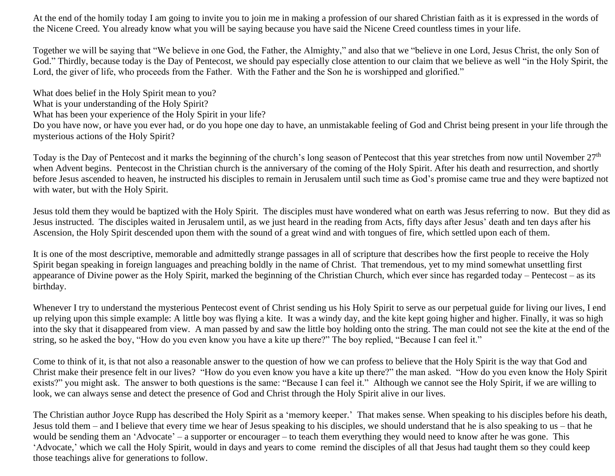At the end of the homily today I am going to invite you to join me in making a profession of our shared Christian faith as it is expressed in the words of the Nicene Creed. You already know what you will be saying because you have said the Nicene Creed countless times in your life.

Together we will be saying that "We believe in one God, the Father, the Almighty," and also that we "believe in one Lord, Jesus Christ, the only Son of God." Thirdly, because today is the Day of Pentecost, we should pay especially close attention to our claim that we believe as well "in the Holy Spirit, the Lord, the giver of life, who proceeds from the Father. With the Father and the Son he is worshipped and glorified."

What does belief in the Holy Spirit mean to you? What is your understanding of the Holy Spirit? What has been your experience of the Holy Spirit in your life? Do you have now, or have you ever had, or do you hope one day to have, an unmistakable feeling of God and Christ being present in your life through the mysterious actions of the Holy Spirit?

Today is the Day of Pentecost and it marks the beginning of the church's long season of Pentecost that this year stretches from now until November 27<sup>th</sup> when Advent begins. Pentecost in the Christian church is the anniversary of the coming of the Holy Spirit. After his death and resurrection, and shortly before Jesus ascended to heaven, he instructed his disciples to remain in Jerusalem until such time as God's promise came true and they were baptized not with water, but with the Holy Spirit.

Jesus told them they would be baptized with the Holy Spirit. The disciples must have wondered what on earth was Jesus referring to now. But they did as Jesus instructed. The disciples waited in Jerusalem until, as we just heard in the reading from Acts, fifty days after Jesus' death and ten days after his Ascension, the Holy Spirit descended upon them with the sound of a great wind and with tongues of fire, which settled upon each of them.

It is one of the most descriptive, memorable and admittedly strange passages in all of scripture that describes how the first people to receive the Holy Spirit began speaking in foreign languages and preaching boldly in the name of Christ. That tremendous, yet to my mind somewhat unsettling first appearance of Divine power as the Holy Spirit, marked the beginning of the Christian Church, which ever since has regarded today – Pentecost – as its birthday.

Whenever I try to understand the mysterious Pentecost event of Christ sending us his Holy Spirit to serve as our perpetual guide for living our lives, I end up relying upon this simple example: A little boy was flying a kite. It was a windy day, and the kite kept going higher and higher. Finally, it was so high into the sky that it disappeared from view. A man passed by and saw the little boy holding onto the string. The man could not see the kite at the end of the string, so he asked the boy, "How do you even know you have a kite up there?" The boy replied, "Because I can feel it."

Come to think of it, is that not also a reasonable answer to the question of how we can profess to believe that the Holy Spirit is the way that God and Christ make their presence felt in our lives? "How do you even know you have a kite up there?" the man asked. "How do you even know the Holy Spirit exists?" you might ask. The answer to both questions is the same: "Because I can feel it." Although we cannot see the Holy Spirit, if we are willing to look, we can always sense and detect the presence of God and Christ through the Holy Spirit alive in our lives.

The Christian author Joyce Rupp has described the Holy Spirit as a 'memory keeper.' That makes sense. When speaking to his disciples before his death, Jesus told them – and I believe that every time we hear of Jesus speaking to his disciples, we should understand that he is also speaking to us – that he would be sending them an 'Advocate' – a supporter or encourager – to teach them everything they would need to know after he was gone. This 'Advocate,' which we call the Holy Spirit, would in days and years to come remind the disciples of all that Jesus had taught them so they could keep those teachings alive for generations to follow.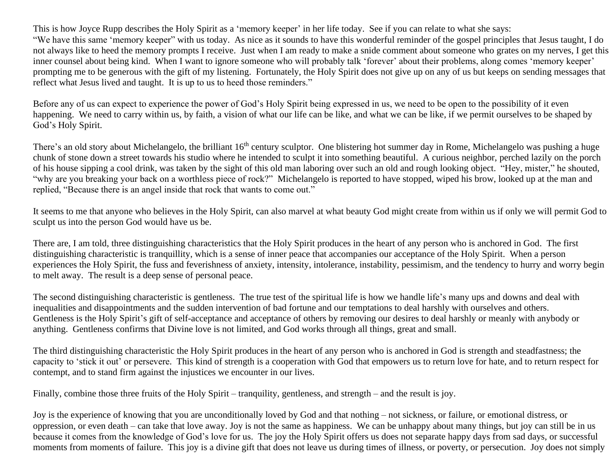This is how Joyce Rupp describes the Holy Spirit as a 'memory keeper' in her life today. See if you can relate to what she says: "We have this same 'memory keeper" with us today. As nice as it sounds to have this wonderful reminder of the gospel principles that Jesus taught, I do not always like to heed the memory prompts I receive. Just when I am ready to make a snide comment about someone who grates on my nerves, I get this inner counsel about being kind. When I want to ignore someone who will probably talk 'forever' about their problems, along comes 'memory keeper' prompting me to be generous with the gift of my listening. Fortunately, the Holy Spirit does not give up on any of us but keeps on sending messages that reflect what Jesus lived and taught. It is up to us to heed those reminders."

Before any of us can expect to experience the power of God's Holy Spirit being expressed in us, we need to be open to the possibility of it even happening. We need to carry within us, by faith, a vision of what our life can be like, and what we can be like, if we permit ourselves to be shaped by God's Holy Spirit.

There's an old story about Michelangelo, the brilliant 16<sup>th</sup> century sculptor. One blistering hot summer day in Rome, Michelangelo was pushing a huge chunk of stone down a street towards his studio where he intended to sculpt it into something beautiful. A curious neighbor, perched lazily on the porch of his house sipping a cool drink, was taken by the sight of this old man laboring over such an old and rough looking object. "Hey, mister," he shouted, "why are you breaking your back on a worthless piece of rock?" Michelangelo is reported to have stopped, wiped his brow, looked up at the man and replied, "Because there is an angel inside that rock that wants to come out."

It seems to me that anyone who believes in the Holy Spirit, can also marvel at what beauty God might create from within us if only we will permit God to sculpt us into the person God would have us be.

There are, I am told, three distinguishing characteristics that the Holy Spirit produces in the heart of any person who is anchored in God. The first distinguishing characteristic is tranquillity, which is a sense of inner peace that accompanies our acceptance of the Holy Spirit. When a person experiences the Holy Spirit, the fuss and feverishness of anxiety, intensity, intolerance, instability, pessimism, and the tendency to hurry and worry begin to melt away. The result is a deep sense of personal peace.

The second distinguishing characteristic is gentleness. The true test of the spiritual life is how we handle life's many ups and downs and deal with inequalities and disappointments and the sudden intervention of bad fortune and our temptations to deal harshly with ourselves and others. Gentleness is the Holy Spirit's gift of self-acceptance and acceptance of others by removing our desires to deal harshly or meanly with anybody or anything. Gentleness confirms that Divine love is not limited, and God works through all things, great and small.

The third distinguishing characteristic the Holy Spirit produces in the heart of any person who is anchored in God is strength and steadfastness; the capacity to 'stick it out' or persevere. This kind of strength is a cooperation with God that empowers us to return love for hate, and to return respect for contempt, and to stand firm against the injustices we encounter in our lives.

Finally, combine those three fruits of the Holy Spirit – tranquility, gentleness, and strength – and the result is joy.

Joy is the experience of knowing that you are unconditionally loved by God and that nothing – not sickness, or failure, or emotional distress, or oppression, or even death – can take that love away. Joy is not the same as happiness. We can be unhappy about many things, but joy can still be in us because it comes from the knowledge of God's love for us. The joy the Holy Spirit offers us does not separate happy days from sad days, or successful moments from moments of failure. This joy is a divine gift that does not leave us during times of illness, or poverty, or persecution. Joy does not simply